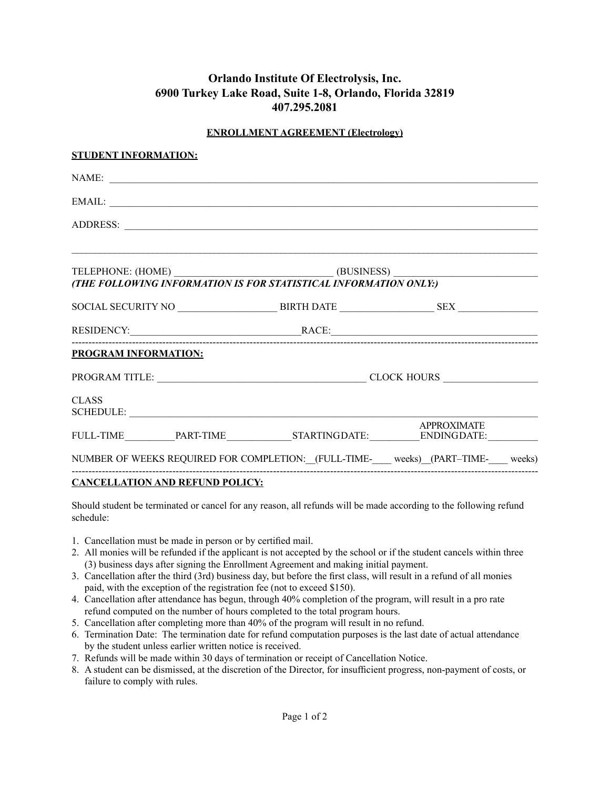# **Orlando Institute Of Electrolysis, Inc. 6900 Turkey Lake Road, Suite 1-8, Orlando, Florida 32819 407.295.2081**

## **ENROLLMENT AGREEMENT (Electrology)**

| <b>STUDENT INFORMATION:</b>                                                                                                                                                                                                                                                                                                                                                          |  |  |  |  |
|--------------------------------------------------------------------------------------------------------------------------------------------------------------------------------------------------------------------------------------------------------------------------------------------------------------------------------------------------------------------------------------|--|--|--|--|
| NAME:                                                                                                                                                                                                                                                                                                                                                                                |  |  |  |  |
| EMAIL:                                                                                                                                                                                                                                                                                                                                                                               |  |  |  |  |
|                                                                                                                                                                                                                                                                                                                                                                                      |  |  |  |  |
|                                                                                                                                                                                                                                                                                                                                                                                      |  |  |  |  |
| TELEPHONE: (HOME)<br>(THE FOLLOWING INFORMATION IS FOR STATISTICAL INFORMATION ONLY:)                                                                                                                                                                                                                                                                                                |  |  |  |  |
|                                                                                                                                                                                                                                                                                                                                                                                      |  |  |  |  |
|                                                                                                                                                                                                                                                                                                                                                                                      |  |  |  |  |
| RESIDENCY: RACE:                                                                                                                                                                                                                                                                                                                                                                     |  |  |  |  |
| <b>PROGRAM INFORMATION:</b>                                                                                                                                                                                                                                                                                                                                                          |  |  |  |  |
|                                                                                                                                                                                                                                                                                                                                                                                      |  |  |  |  |
| <b>CLASS</b>                                                                                                                                                                                                                                                                                                                                                                         |  |  |  |  |
| $\noindent\textbf{FULL-TIME}\footnotesize\begin{picture}(180,10) \put(0,0){\vector(0,1){100}} \put(10,0){\vector(0,1){100}} \put(10,0){\vector(0,1){100}} \put(10,0){\vector(0,1){100}} \put(10,0){\vector(0,1){100}} \put(10,0){\vector(0,1){100}} \put(10,0){\vector(0,1){100}} \put(10,0){\vector(0,1){100}} \put(10,0){\vector(0,1){100}} \put(10,0){\vector(0,1){100}} \put(10$ |  |  |  |  |
| NUMBER OF WEEKS REQUIRED FOR COMPLETION: [FULL-TIME-____ weeks) (PART-TIME-___ weeks)                                                                                                                                                                                                                                                                                                |  |  |  |  |
|                                                                                                                                                                                                                                                                                                                                                                                      |  |  |  |  |

# **CANCELLATION AND REFUND POLICY:**

Should student be terminated or cancel for any reason, all refunds will be made according to the following refund schedule:

- 1. Cancellation must be made in person or by certified mail.
- 2. All monies will be refunded if the applicant is not accepted by the school or if the student cancels within three (3) business days after signing the Enrollment Agreement and making initial payment.
- 3. Cancellation after the third (3rd) business day, but before the first class, will result in a refund of all monies paid, with the exception of the registration fee (not to exceed \$150).
- 4. Cancellation after attendance has begun, through 40% completion of the program, will result in a pro rate refund computed on the number of hours completed to the total program hours.
- 5. Cancellation after completing more than 40% of the program will result in no refund.
- 6. Termination Date: The termination date for refund computation purposes is the last date of actual attendance by the student unless earlier written notice is received.
- 7. Refunds will be made within 30 days of termination or receipt of Cancellation Notice.
- 8. A student can be dismissed, at the discretion of the Director, for insufficient progress, non-payment of costs, or failure to comply with rules.